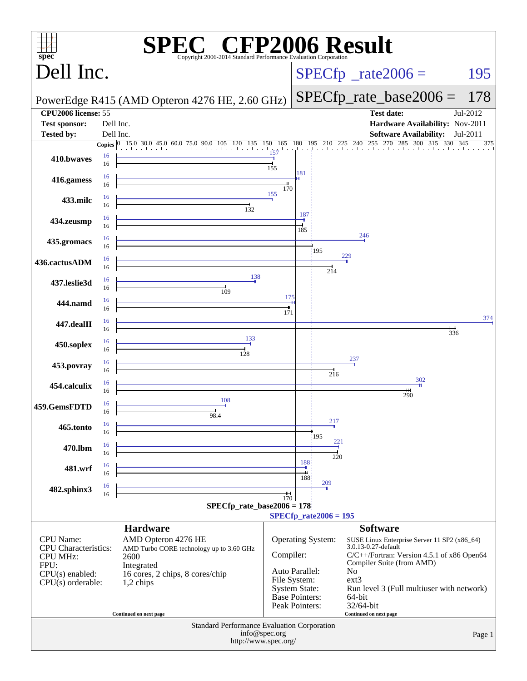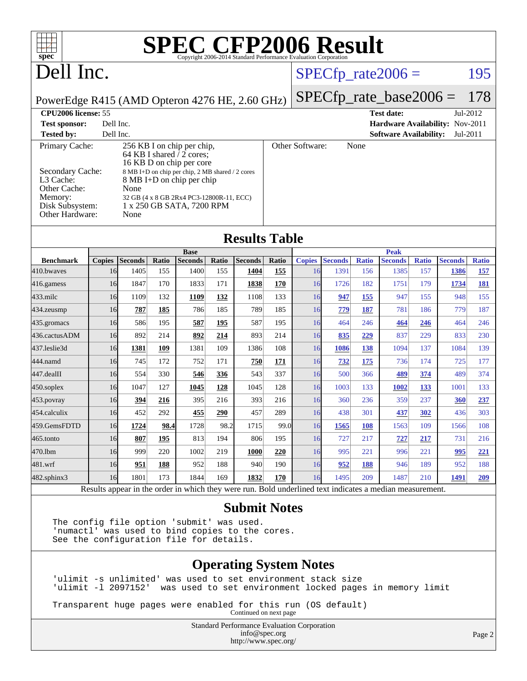| <b>SPEC CFP2006 Result</b><br>$\overline{+}$<br>$spec^{\circ}$<br>Copyright 2006-2014 Standard Performance Evaluation Corporation                                                                                                                                                                                                                             |    |                        |              |                        |              |                         |              |                     |                        |                            |                        |                     |                        |                            |
|---------------------------------------------------------------------------------------------------------------------------------------------------------------------------------------------------------------------------------------------------------------------------------------------------------------------------------------------------------------|----|------------------------|--------------|------------------------|--------------|-------------------------|--------------|---------------------|------------------------|----------------------------|------------------------|---------------------|------------------------|----------------------------|
| Dell Inc.                                                                                                                                                                                                                                                                                                                                                     |    |                        |              |                        |              |                         |              |                     |                        |                            | $SPECfp\_rate2006 =$   |                     |                        | 195                        |
| PowerEdge R415 (AMD Opteron 4276 HE, 2.60 GHz)                                                                                                                                                                                                                                                                                                                |    |                        |              |                        |              |                         |              |                     |                        | $SPECfp\_rate\_base2006 =$ |                        |                     | 178                    |                            |
| CPU2006 license: 55<br><b>Test date:</b>                                                                                                                                                                                                                                                                                                                      |    |                        |              |                        |              |                         |              | Jul-2012            |                        |                            |                        |                     |                        |                            |
| Dell Inc.<br>Hardware Availability: Nov-2011<br><b>Test sponsor:</b>                                                                                                                                                                                                                                                                                          |    |                        |              |                        |              |                         |              |                     |                        |                            |                        |                     |                        |                            |
| Dell Inc.<br><b>Tested by:</b><br><b>Software Availability:</b><br>Jul-2011                                                                                                                                                                                                                                                                                   |    |                        |              |                        |              |                         |              |                     |                        |                            |                        |                     |                        |                            |
| Primary Cache:<br>256 KB I on chip per chip,<br>64 KB I shared $\sqrt{2}$ cores;<br>16 KB D on chip per core<br>Secondary Cache:<br>8 MB I+D on chip per chip, 2 MB shared / 2 cores<br>L3 Cache:<br>8 MB I+D on chip per chip<br>Other Cache:<br>None<br>Memory:<br>32 GB (4 x 8 GB 2Rx4 PC3-12800R-11, ECC)<br>Disk Subsystem:<br>1 x 250 GB SATA, 7200 RPM |    |                        |              |                        |              | Other Software:<br>None |              |                     |                        |                            |                        |                     |                        |                            |
| Other Hardware:<br>None                                                                                                                                                                                                                                                                                                                                       |    |                        |              |                        |              |                         |              |                     |                        |                            |                        |                     |                        |                            |
| <b>Results Table</b>                                                                                                                                                                                                                                                                                                                                          |    |                        |              |                        |              |                         |              |                     |                        |                            |                        |                     |                        |                            |
|                                                                                                                                                                                                                                                                                                                                                               |    |                        |              | <b>Base</b>            |              |                         |              |                     |                        |                            | <b>Peak</b>            |                     |                        |                            |
| <b>Benchmark</b><br>410.bwaves                                                                                                                                                                                                                                                                                                                                | 16 | Copies Seconds<br>1405 | Ratio<br>155 | <b>Seconds</b><br>1400 | Ratio<br>155 | <b>Seconds</b><br>1404  | Ratio<br>155 | <b>Copies</b><br>16 | <b>Seconds</b><br>1391 | <b>Ratio</b><br>156        | <b>Seconds</b><br>1385 | <b>Ratio</b><br>157 | <b>Seconds</b><br>1386 | <b>Ratio</b><br><u>157</u> |
| $416$ .gamess                                                                                                                                                                                                                                                                                                                                                 | 16 | 1847                   | 170          | 1833                   | 171          | 1838                    | <b>170</b>   | 16                  | 1726                   | 182                        | 1751                   | 179                 | 1734                   | 181                        |
| 433.milc                                                                                                                                                                                                                                                                                                                                                      | 16 | 1109                   | 132          | 1109                   | 132          | 1108                    | 133          | 16                  | 947                    | 155                        | 947                    | 155                 | 948                    | 155                        |
| 434.zeusmp                                                                                                                                                                                                                                                                                                                                                    | 16 | 787                    | 185          | 786                    | 185          | 789                     | 185          | 16                  | 779                    | <u>187</u>                 | 781                    | 186                 | 779                    | 187                        |
| 435.gromacs                                                                                                                                                                                                                                                                                                                                                   | 16 | 586                    | 195          | 587                    | 195          | 587                     | 195          | 16                  | 464                    | 246                        | 464                    | 246                 | 464                    | 246                        |
| 436.cactusADM                                                                                                                                                                                                                                                                                                                                                 | 16 | 892                    | 214          | 892                    | 214          | 893                     | 214          | 16                  | 835                    | 229                        | 837                    | 229                 | 833                    | 230                        |
| 437.leslie3d                                                                                                                                                                                                                                                                                                                                                  | 16 | 1381                   | 109          | 1381                   | 109          | 1386                    | 108          | 16                  | <b>1086</b>            | 138                        | 1094                   | 137                 | 1084                   | 139                        |
| 444.namd                                                                                                                                                                                                                                                                                                                                                      | 16 | 745                    | 172          | 752                    | 171          | 750                     | <u>171</u>   | 16                  | <u>732</u>             | <u>175</u>                 | 736                    | 174                 | 725                    | 177                        |
| 447.dealII                                                                                                                                                                                                                                                                                                                                                    | 16 | 554                    | 330          | 546                    | 336          | 543                     | 337          | 16                  | 500                    | 366                        | 489                    | 374                 | 489                    | 374                        |
| $450$ .soplex                                                                                                                                                                                                                                                                                                                                                 | 16 | 1047                   | 127          | 1045                   | 128          | 1045                    | 128          | 16                  | 1003                   | 133                        | 1002                   | <u>133</u>          | 1001                   | 133                        |
| $453$ .povray                                                                                                                                                                                                                                                                                                                                                 | 16 | 394                    | 216          | 395                    | 216          | 393                     | 216          | 16                  | 360                    | 236                        | 359                    | 237                 | 360                    | 237                        |
| 454.calculix                                                                                                                                                                                                                                                                                                                                                  | 16 | 452                    | 292          | 455                    | 290          | 457                     | 289          | 16                  | 438                    | 301                        | 437                    | 302                 | 436                    | 303                        |
| 459.GemsFDTD                                                                                                                                                                                                                                                                                                                                                  | 16 | 1724                   | 98.4         | 1728                   | 98.2         | 1715                    | 99.0         | 16                  | <b>1565</b>            | <b>108</b>                 | 1563                   | 109                 | 1566                   | 108                        |
| $465$ .tonto                                                                                                                                                                                                                                                                                                                                                  | 16 | 807                    | 195          | 813                    | 194          | 806                     | 195          | 16                  | 727                    | 217                        | 727                    | 217                 | 731                    | 216                        |
| 470.1bm                                                                                                                                                                                                                                                                                                                                                       | 16 | 999                    | 220          | 1002                   | 219          | <b>1000</b>             | 220          | 16                  | 995                    | 221                        | 996                    | 221                 | 995                    | 221                        |
| 481.wrf                                                                                                                                                                                                                                                                                                                                                       | 16 | 951                    | 188          | 952                    | 188          | 940                     | 190          | 16                  | 952                    | <b>188</b>                 | 946                    | 189                 | 952                    | 188                        |
| 482.sphinx3                                                                                                                                                                                                                                                                                                                                                   | 16 | 1801                   | 173          | 1844                   | 169          | 1832                    | 170          | 16                  | 1495                   | 209                        | 1487                   | 210                 | 1491                   | 209                        |
| Results appear in the order in which they were run. Bold underlined text indicates a median measurement.                                                                                                                                                                                                                                                      |    |                        |              |                        |              |                         |              |                     |                        |                            |                        |                     |                        |                            |

#### **[Submit Notes](http://www.spec.org/auto/cpu2006/Docs/result-fields.html#SubmitNotes)**

The config file option 'submit' was used. 'numactl' was used to bind copies to the cores. See the configuration file for details.

#### **[Operating System Notes](http://www.spec.org/auto/cpu2006/Docs/result-fields.html#OperatingSystemNotes)**

'ulimit -s unlimited' was used to set environment stack size 'ulimit -l 2097152' was used to set environment locked pages in memory limit

Transparent huge pages were enabled for this run (OS default) Continued on next page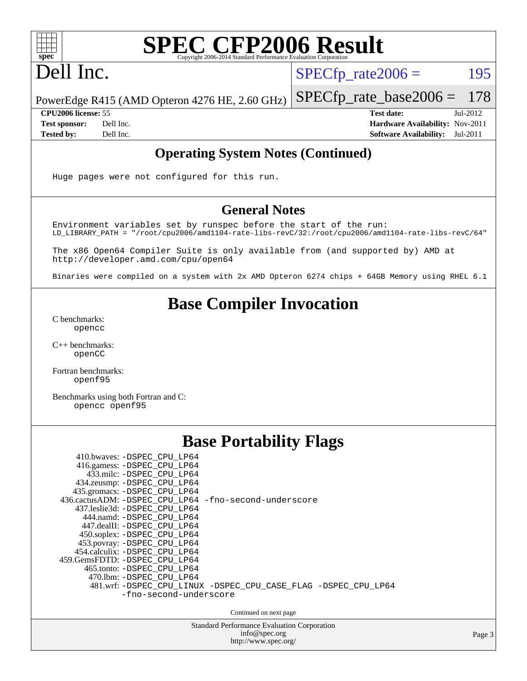

## Dell Inc.

 $SPECTp_rate2006 = 195$ 

PowerEdge R415 (AMD Opteron 4276 HE, 2.60 GHz) [SPECfp\\_rate\\_base2006 =](http://www.spec.org/auto/cpu2006/Docs/result-fields.html#SPECfpratebase2006) 178

**[CPU2006 license:](http://www.spec.org/auto/cpu2006/Docs/result-fields.html#CPU2006license)** 55 **[Test date:](http://www.spec.org/auto/cpu2006/Docs/result-fields.html#Testdate)** Jul-2012 **[Test sponsor:](http://www.spec.org/auto/cpu2006/Docs/result-fields.html#Testsponsor)** Dell Inc. **[Hardware Availability:](http://www.spec.org/auto/cpu2006/Docs/result-fields.html#HardwareAvailability)** Nov-2011 **[Tested by:](http://www.spec.org/auto/cpu2006/Docs/result-fields.html#Testedby)** Dell Inc. **[Software Availability:](http://www.spec.org/auto/cpu2006/Docs/result-fields.html#SoftwareAvailability)** Jul-2011

#### **[Operating System Notes \(Continued\)](http://www.spec.org/auto/cpu2006/Docs/result-fields.html#OperatingSystemNotes)**

Huge pages were not configured for this run.

#### **[General Notes](http://www.spec.org/auto/cpu2006/Docs/result-fields.html#GeneralNotes)**

Environment variables set by runspec before the start of the run: LD\_LIBRARY\_PATH = "/root/cpu2006/amd1104-rate-libs-revC/32:/root/cpu2006/amd1104-rate-libs-revC/64"

The x86 Open64 Compiler Suite is only available from (and supported by) AMD at <http://developer.amd.com/cpu/open64>

Binaries were compiled on a system with 2x AMD Opteron 6274 chips + 64GB Memory using RHEL 6.1

#### **[Base Compiler Invocation](http://www.spec.org/auto/cpu2006/Docs/result-fields.html#BaseCompilerInvocation)**

[C benchmarks](http://www.spec.org/auto/cpu2006/Docs/result-fields.html#Cbenchmarks): [opencc](http://www.spec.org/cpu2006/results/res2012q3/cpu2006-20120716-23747.flags.html#user_CCbase_Fopencc)

[C++ benchmarks:](http://www.spec.org/auto/cpu2006/Docs/result-fields.html#CXXbenchmarks) [openCC](http://www.spec.org/cpu2006/results/res2012q3/cpu2006-20120716-23747.flags.html#user_CXXbase_FopenCC)

[Fortran benchmarks](http://www.spec.org/auto/cpu2006/Docs/result-fields.html#Fortranbenchmarks): [openf95](http://www.spec.org/cpu2006/results/res2012q3/cpu2006-20120716-23747.flags.html#user_FCbase_Fopenf95)

[Benchmarks using both Fortran and C](http://www.spec.org/auto/cpu2006/Docs/result-fields.html#BenchmarksusingbothFortranandC): [opencc](http://www.spec.org/cpu2006/results/res2012q3/cpu2006-20120716-23747.flags.html#user_CC_FCbase_Fopencc) [openf95](http://www.spec.org/cpu2006/results/res2012q3/cpu2006-20120716-23747.flags.html#user_CC_FCbase_Fopenf95)

| <b>Base Portability Flags</b>                                                              |  |  |  |  |  |  |  |  |
|--------------------------------------------------------------------------------------------|--|--|--|--|--|--|--|--|
| 410.bwaves: -DSPEC_CPU_LP64<br>416.gamess: -DSPEC_CPU_LP64                                 |  |  |  |  |  |  |  |  |
| 433.milc: -DSPEC CPU LP64<br>434.zeusmp: -DSPEC_CPU_LP64                                   |  |  |  |  |  |  |  |  |
| 435.gromacs: -DSPEC_CPU_LP64<br>436.cactusADM: -DSPEC_CPU_LP64 -fno-second-underscore      |  |  |  |  |  |  |  |  |
| 437.leslie3d: -DSPEC CPU LP64<br>444.namd: - DSPEC_CPU_LP64<br>447.dealII: -DSPEC CPU LP64 |  |  |  |  |  |  |  |  |
| 450.soplex: - DSPEC_CPU_LP64<br>453.povray: -DSPEC_CPU_LP64                                |  |  |  |  |  |  |  |  |
| 454.calculix: -DSPEC CPU LP64<br>459.GemsFDTD: -DSPEC CPU LP64                             |  |  |  |  |  |  |  |  |
| 465.tonto: -DSPEC CPU LP64<br>470.1bm: - DSPEC CPU LP64                                    |  |  |  |  |  |  |  |  |
| 481.wrf: -DSPEC_CPU_LINUX -DSPEC_CPU_CASE_FLAG -DSPEC_CPU_LP64<br>-fno-second-underscore   |  |  |  |  |  |  |  |  |
| Continued on next page                                                                     |  |  |  |  |  |  |  |  |
| <b>Standard Performance Evaluation Corporation</b><br>info@spec.org                        |  |  |  |  |  |  |  |  |

<http://www.spec.org/>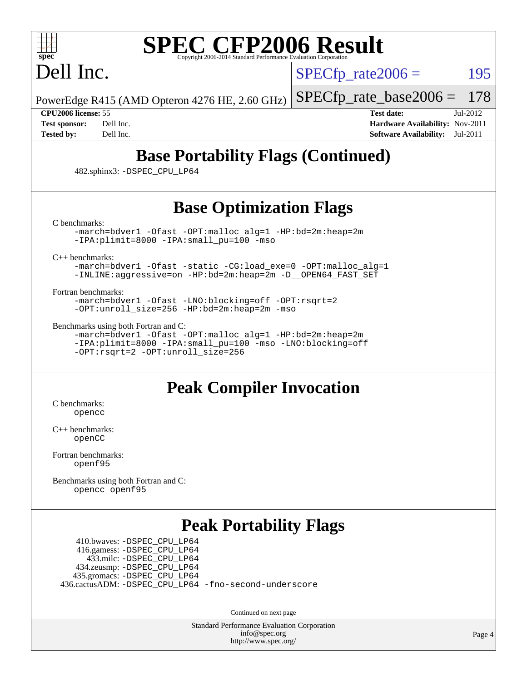## Dell Inc.

 $SPECTp\_rate2006 = 195$ 

PowerEdge R415 (AMD Opteron 4276 HE, 2.60 GHz)

[SPECfp\\_rate\\_base2006 =](http://www.spec.org/auto/cpu2006/Docs/result-fields.html#SPECfpratebase2006) 178

**[CPU2006 license:](http://www.spec.org/auto/cpu2006/Docs/result-fields.html#CPU2006license)** 55 **[Test date:](http://www.spec.org/auto/cpu2006/Docs/result-fields.html#Testdate)** Jul-2012 **[Test sponsor:](http://www.spec.org/auto/cpu2006/Docs/result-fields.html#Testsponsor)** Dell Inc. **[Hardware Availability:](http://www.spec.org/auto/cpu2006/Docs/result-fields.html#HardwareAvailability)** Nov-2011 **[Tested by:](http://www.spec.org/auto/cpu2006/Docs/result-fields.html#Testedby)** Dell Inc. **[Software Availability:](http://www.spec.org/auto/cpu2006/Docs/result-fields.html#SoftwareAvailability)** Jul-2011

## **[Base Portability Flags \(Continued\)](http://www.spec.org/auto/cpu2006/Docs/result-fields.html#BasePortabilityFlags)**

482.sphinx3: [-DSPEC\\_CPU\\_LP64](http://www.spec.org/cpu2006/results/res2012q3/cpu2006-20120716-23747.flags.html#suite_basePORTABILITY482_sphinx3_DSPEC_CPU_LP64)

### **[Base Optimization Flags](http://www.spec.org/auto/cpu2006/Docs/result-fields.html#BaseOptimizationFlags)**

[C benchmarks](http://www.spec.org/auto/cpu2006/Docs/result-fields.html#Cbenchmarks):

[-march=bdver1](http://www.spec.org/cpu2006/results/res2012q3/cpu2006-20120716-23747.flags.html#user_CCbase_F-march_fdb9f2653a6b3eaa60be4cf93a9ba5f3) [-Ofast](http://www.spec.org/cpu2006/results/res2012q3/cpu2006-20120716-23747.flags.html#user_CCbase_F-Ofast) [-OPT:malloc\\_alg=1](http://www.spec.org/cpu2006/results/res2012q3/cpu2006-20120716-23747.flags.html#user_CCbase_F-OPT:malloc_algorithm_58733815edefaa612c2ed769b716daa0) [-HP:bd=2m:heap=2m](http://www.spec.org/cpu2006/results/res2012q3/cpu2006-20120716-23747.flags.html#user_CCbase_F-HUGEPAGE_539c723a9f9bd1bd95cd839aeb740bae) [-IPA:plimit=8000](http://www.spec.org/cpu2006/results/res2012q3/cpu2006-20120716-23747.flags.html#user_CCbase_F-IPA:plimit_92cba83f3d47f09c7d5368fda93ddbd7) [-IPA:small\\_pu=100](http://www.spec.org/cpu2006/results/res2012q3/cpu2006-20120716-23747.flags.html#user_CCbase_F-IPA:small_pu_900a09767c6929d55c26ea3d32399996) [-mso](http://www.spec.org/cpu2006/results/res2012q3/cpu2006-20120716-23747.flags.html#user_CCbase_F-mso)

[C++ benchmarks:](http://www.spec.org/auto/cpu2006/Docs/result-fields.html#CXXbenchmarks)

[-march=bdver1](http://www.spec.org/cpu2006/results/res2012q3/cpu2006-20120716-23747.flags.html#user_CXXbase_F-march_fdb9f2653a6b3eaa60be4cf93a9ba5f3) [-Ofast](http://www.spec.org/cpu2006/results/res2012q3/cpu2006-20120716-23747.flags.html#user_CXXbase_F-Ofast) [-static](http://www.spec.org/cpu2006/results/res2012q3/cpu2006-20120716-23747.flags.html#user_CXXbase_F-static) [-CG:load\\_exe=0](http://www.spec.org/cpu2006/results/res2012q3/cpu2006-20120716-23747.flags.html#user_CXXbase_F-CG:load_exe_274d025dc8e91b4834366e9e44cd78e3) [-OPT:malloc\\_alg=1](http://www.spec.org/cpu2006/results/res2012q3/cpu2006-20120716-23747.flags.html#user_CXXbase_F-OPT:malloc_algorithm_58733815edefaa612c2ed769b716daa0) [-INLINE:aggressive=on](http://www.spec.org/cpu2006/results/res2012q3/cpu2006-20120716-23747.flags.html#user_CXXbase_F-INLINE:aggressive_e14807c0a1e56a6a83cb25ab07c7ae8a) [-HP:bd=2m:heap=2m](http://www.spec.org/cpu2006/results/res2012q3/cpu2006-20120716-23747.flags.html#user_CXXbase_F-HUGEPAGE_539c723a9f9bd1bd95cd839aeb740bae) [-D\\_\\_OPEN64\\_FAST\\_SET](http://www.spec.org/cpu2006/results/res2012q3/cpu2006-20120716-23747.flags.html#user_CXXbase_F-D__OPEN64_FAST_SET_294c6d8260f208640e5474aae24dc22e)

[Fortran benchmarks](http://www.spec.org/auto/cpu2006/Docs/result-fields.html#Fortranbenchmarks):

[-march=bdver1](http://www.spec.org/cpu2006/results/res2012q3/cpu2006-20120716-23747.flags.html#user_FCbase_F-march_fdb9f2653a6b3eaa60be4cf93a9ba5f3) [-Ofast](http://www.spec.org/cpu2006/results/res2012q3/cpu2006-20120716-23747.flags.html#user_FCbase_F-Ofast) [-LNO:blocking=off](http://www.spec.org/cpu2006/results/res2012q3/cpu2006-20120716-23747.flags.html#user_FCbase_F-LNO:blocking_806f5758a3ec85ed57cd5625787129f2) [-OPT:rsqrt=2](http://www.spec.org/cpu2006/results/res2012q3/cpu2006-20120716-23747.flags.html#user_FCbase_F-OPT:rsqrt_86267f9eadbaac77732db1e74eed7bf8) [-OPT:unroll\\_size=256](http://www.spec.org/cpu2006/results/res2012q3/cpu2006-20120716-23747.flags.html#user_FCbase_F-OPT:unroll_size_dfa492f42f50f580c3837c8b22d14f27) [-HP:bd=2m:heap=2m](http://www.spec.org/cpu2006/results/res2012q3/cpu2006-20120716-23747.flags.html#user_FCbase_F-HUGEPAGE_539c723a9f9bd1bd95cd839aeb740bae) [-mso](http://www.spec.org/cpu2006/results/res2012q3/cpu2006-20120716-23747.flags.html#user_FCbase_F-mso)

[Benchmarks using both Fortran and C](http://www.spec.org/auto/cpu2006/Docs/result-fields.html#BenchmarksusingbothFortranandC):

[-march=bdver1](http://www.spec.org/cpu2006/results/res2012q3/cpu2006-20120716-23747.flags.html#user_CC_FCbase_F-march_fdb9f2653a6b3eaa60be4cf93a9ba5f3) [-Ofast](http://www.spec.org/cpu2006/results/res2012q3/cpu2006-20120716-23747.flags.html#user_CC_FCbase_F-Ofast) [-OPT:malloc\\_alg=1](http://www.spec.org/cpu2006/results/res2012q3/cpu2006-20120716-23747.flags.html#user_CC_FCbase_F-OPT:malloc_algorithm_58733815edefaa612c2ed769b716daa0) [-HP:bd=2m:heap=2m](http://www.spec.org/cpu2006/results/res2012q3/cpu2006-20120716-23747.flags.html#user_CC_FCbase_F-HUGEPAGE_539c723a9f9bd1bd95cd839aeb740bae) [-IPA:plimit=8000](http://www.spec.org/cpu2006/results/res2012q3/cpu2006-20120716-23747.flags.html#user_CC_FCbase_F-IPA:plimit_92cba83f3d47f09c7d5368fda93ddbd7) [-IPA:small\\_pu=100](http://www.spec.org/cpu2006/results/res2012q3/cpu2006-20120716-23747.flags.html#user_CC_FCbase_F-IPA:small_pu_900a09767c6929d55c26ea3d32399996) [-mso](http://www.spec.org/cpu2006/results/res2012q3/cpu2006-20120716-23747.flags.html#user_CC_FCbase_F-mso) [-LNO:blocking=off](http://www.spec.org/cpu2006/results/res2012q3/cpu2006-20120716-23747.flags.html#user_CC_FCbase_F-LNO:blocking_806f5758a3ec85ed57cd5625787129f2) [-OPT:rsqrt=2](http://www.spec.org/cpu2006/results/res2012q3/cpu2006-20120716-23747.flags.html#user_CC_FCbase_F-OPT:rsqrt_86267f9eadbaac77732db1e74eed7bf8) [-OPT:unroll\\_size=256](http://www.spec.org/cpu2006/results/res2012q3/cpu2006-20120716-23747.flags.html#user_CC_FCbase_F-OPT:unroll_size_dfa492f42f50f580c3837c8b22d14f27)

#### **[Peak Compiler Invocation](http://www.spec.org/auto/cpu2006/Docs/result-fields.html#PeakCompilerInvocation)**

[C benchmarks](http://www.spec.org/auto/cpu2006/Docs/result-fields.html#Cbenchmarks): [opencc](http://www.spec.org/cpu2006/results/res2012q3/cpu2006-20120716-23747.flags.html#user_CCpeak_Fopencc)

[C++ benchmarks:](http://www.spec.org/auto/cpu2006/Docs/result-fields.html#CXXbenchmarks) [openCC](http://www.spec.org/cpu2006/results/res2012q3/cpu2006-20120716-23747.flags.html#user_CXXpeak_FopenCC)

[Fortran benchmarks](http://www.spec.org/auto/cpu2006/Docs/result-fields.html#Fortranbenchmarks): [openf95](http://www.spec.org/cpu2006/results/res2012q3/cpu2006-20120716-23747.flags.html#user_FCpeak_Fopenf95)

[Benchmarks using both Fortran and C](http://www.spec.org/auto/cpu2006/Docs/result-fields.html#BenchmarksusingbothFortranandC): [opencc](http://www.spec.org/cpu2006/results/res2012q3/cpu2006-20120716-23747.flags.html#user_CC_FCpeak_Fopencc) [openf95](http://www.spec.org/cpu2006/results/res2012q3/cpu2006-20120716-23747.flags.html#user_CC_FCpeak_Fopenf95)

#### **[Peak Portability Flags](http://www.spec.org/auto/cpu2006/Docs/result-fields.html#PeakPortabilityFlags)**

 410.bwaves: [-DSPEC\\_CPU\\_LP64](http://www.spec.org/cpu2006/results/res2012q3/cpu2006-20120716-23747.flags.html#suite_peakPORTABILITY410_bwaves_DSPEC_CPU_LP64) 416.gamess: [-DSPEC\\_CPU\\_LP64](http://www.spec.org/cpu2006/results/res2012q3/cpu2006-20120716-23747.flags.html#suite_peakPORTABILITY416_gamess_DSPEC_CPU_LP64) 433.milc: [-DSPEC\\_CPU\\_LP64](http://www.spec.org/cpu2006/results/res2012q3/cpu2006-20120716-23747.flags.html#suite_peakPORTABILITY433_milc_DSPEC_CPU_LP64) 434.zeusmp: [-DSPEC\\_CPU\\_LP64](http://www.spec.org/cpu2006/results/res2012q3/cpu2006-20120716-23747.flags.html#suite_peakPORTABILITY434_zeusmp_DSPEC_CPU_LP64) 435.gromacs: [-DSPEC\\_CPU\\_LP64](http://www.spec.org/cpu2006/results/res2012q3/cpu2006-20120716-23747.flags.html#suite_peakPORTABILITY435_gromacs_DSPEC_CPU_LP64) 436.cactusADM: [-DSPEC\\_CPU\\_LP64](http://www.spec.org/cpu2006/results/res2012q3/cpu2006-20120716-23747.flags.html#suite_peakPORTABILITY436_cactusADM_DSPEC_CPU_LP64) [-fno-second-underscore](http://www.spec.org/cpu2006/results/res2012q3/cpu2006-20120716-23747.flags.html#user_peakFPORTABILITY436_cactusADM_F-fno-second-underscore)

Continued on next page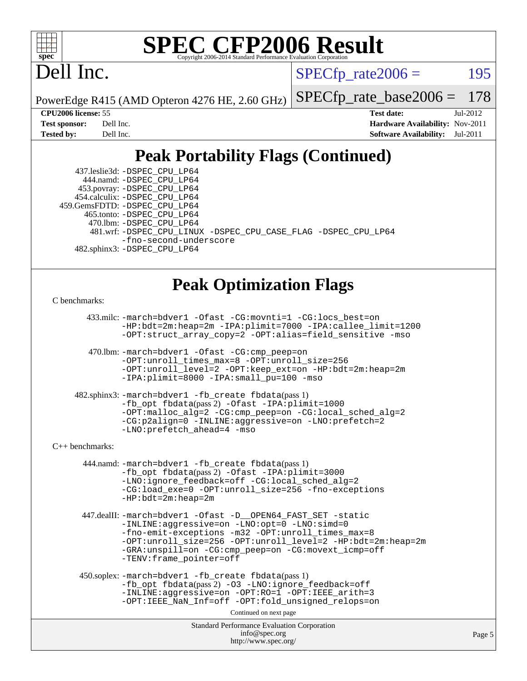

## Dell Inc.

 $SPECTp\_rate2006 = 195$ 

PowerEdge R415 (AMD Opteron 4276 HE, 2.60 GHz) [SPECfp\\_rate\\_base2006 =](http://www.spec.org/auto/cpu2006/Docs/result-fields.html#SPECfpratebase2006) 178

**[CPU2006 license:](http://www.spec.org/auto/cpu2006/Docs/result-fields.html#CPU2006license)** 55 **[Test date:](http://www.spec.org/auto/cpu2006/Docs/result-fields.html#Testdate)** Jul-2012 **[Test sponsor:](http://www.spec.org/auto/cpu2006/Docs/result-fields.html#Testsponsor)** Dell Inc. **[Hardware Availability:](http://www.spec.org/auto/cpu2006/Docs/result-fields.html#HardwareAvailability)** Nov-2011 **[Tested by:](http://www.spec.org/auto/cpu2006/Docs/result-fields.html#Testedby)** Dell Inc. **[Software Availability:](http://www.spec.org/auto/cpu2006/Docs/result-fields.html#SoftwareAvailability)** Jul-2011

## **[Peak Portability Flags \(Continued\)](http://www.spec.org/auto/cpu2006/Docs/result-fields.html#PeakPortabilityFlags)**

 437.leslie3d: [-DSPEC\\_CPU\\_LP64](http://www.spec.org/cpu2006/results/res2012q3/cpu2006-20120716-23747.flags.html#suite_peakPORTABILITY437_leslie3d_DSPEC_CPU_LP64) 444.namd: [-DSPEC\\_CPU\\_LP64](http://www.spec.org/cpu2006/results/res2012q3/cpu2006-20120716-23747.flags.html#suite_peakPORTABILITY444_namd_DSPEC_CPU_LP64) 453.povray: [-DSPEC\\_CPU\\_LP64](http://www.spec.org/cpu2006/results/res2012q3/cpu2006-20120716-23747.flags.html#suite_peakPORTABILITY453_povray_DSPEC_CPU_LP64) 454.calculix: [-DSPEC\\_CPU\\_LP64](http://www.spec.org/cpu2006/results/res2012q3/cpu2006-20120716-23747.flags.html#suite_peakPORTABILITY454_calculix_DSPEC_CPU_LP64) 459.GemsFDTD: [-DSPEC\\_CPU\\_LP64](http://www.spec.org/cpu2006/results/res2012q3/cpu2006-20120716-23747.flags.html#suite_peakPORTABILITY459_GemsFDTD_DSPEC_CPU_LP64) 465.tonto: [-DSPEC\\_CPU\\_LP64](http://www.spec.org/cpu2006/results/res2012q3/cpu2006-20120716-23747.flags.html#suite_peakPORTABILITY465_tonto_DSPEC_CPU_LP64) 470.lbm: [-DSPEC\\_CPU\\_LP64](http://www.spec.org/cpu2006/results/res2012q3/cpu2006-20120716-23747.flags.html#suite_peakPORTABILITY470_lbm_DSPEC_CPU_LP64) 481.wrf: [-DSPEC\\_CPU\\_LINUX](http://www.spec.org/cpu2006/results/res2012q3/cpu2006-20120716-23747.flags.html#b481.wrf_peakPORTABILITY_DSPEC_CPU_LINUX) [-DSPEC\\_CPU\\_CASE\\_FLAG](http://www.spec.org/cpu2006/results/res2012q3/cpu2006-20120716-23747.flags.html#b481.wrf_peakPORTABILITY_DSPEC_CPU_CASE_FLAG) [-DSPEC\\_CPU\\_LP64](http://www.spec.org/cpu2006/results/res2012q3/cpu2006-20120716-23747.flags.html#suite_peakPORTABILITY481_wrf_DSPEC_CPU_LP64) [-fno-second-underscore](http://www.spec.org/cpu2006/results/res2012q3/cpu2006-20120716-23747.flags.html#user_peakFPORTABILITY481_wrf_F-fno-second-underscore) 482.sphinx3: [-DSPEC\\_CPU\\_LP64](http://www.spec.org/cpu2006/results/res2012q3/cpu2006-20120716-23747.flags.html#suite_peakPORTABILITY482_sphinx3_DSPEC_CPU_LP64)

#### **[Peak Optimization Flags](http://www.spec.org/auto/cpu2006/Docs/result-fields.html#PeakOptimizationFlags)**

#### [C benchmarks](http://www.spec.org/auto/cpu2006/Docs/result-fields.html#Cbenchmarks):

 433.milc: [-march=bdver1](http://www.spec.org/cpu2006/results/res2012q3/cpu2006-20120716-23747.flags.html#user_peakCCLD433_milc_F-march_fdb9f2653a6b3eaa60be4cf93a9ba5f3) [-Ofast](http://www.spec.org/cpu2006/results/res2012q3/cpu2006-20120716-23747.flags.html#user_peakCOPTIMIZE433_milc_F-Ofast) [-CG:movnti=1](http://www.spec.org/cpu2006/results/res2012q3/cpu2006-20120716-23747.flags.html#user_peakCOPTIMIZE433_milc_F-CG:movnti_c5191dc1f6da57382570e339f0143b6b) [-CG:locs\\_best=on](http://www.spec.org/cpu2006/results/res2012q3/cpu2006-20120716-23747.flags.html#user_peakCOPTIMIZE433_milc_F-CG:locs_best_44bf6c0eb80ac6a9a061cf7622f6bbb4) [-HP:bdt=2m:heap=2m](http://www.spec.org/cpu2006/results/res2012q3/cpu2006-20120716-23747.flags.html#user_peakCOPTIMIZE433_milc_F-HUGEPAGE_855e97383b49831f390a2af16fe7202f) [-IPA:plimit=7000](http://www.spec.org/cpu2006/results/res2012q3/cpu2006-20120716-23747.flags.html#user_peakCOPTIMIZE433_milc_F-IPA:plimit_9ab6b7e2a03099d305c7c932a2b08e7b) [-IPA:callee\\_limit=1200](http://www.spec.org/cpu2006/results/res2012q3/cpu2006-20120716-23747.flags.html#user_peakCOPTIMIZE433_milc_F-IPA:callee_limit_84570d230861a5f7e1ef8b9d520820bd) [-OPT:struct\\_array\\_copy=2](http://www.spec.org/cpu2006/results/res2012q3/cpu2006-20120716-23747.flags.html#user_peakCOPTIMIZE433_milc_F-OPT:struct_array_copy_974d2ad8eca78b540f82de85c2718c76) [-OPT:alias=field\\_sensitive](http://www.spec.org/cpu2006/results/res2012q3/cpu2006-20120716-23747.flags.html#user_peakCOPTIMIZE433_milc_F-OPT:alias_5e8b0b9ccca45811fc77b81277beeeb6) [-mso](http://www.spec.org/cpu2006/results/res2012q3/cpu2006-20120716-23747.flags.html#user_peakCOPTIMIZE433_milc_F-mso)

 470.lbm: [-march=bdver1](http://www.spec.org/cpu2006/results/res2012q3/cpu2006-20120716-23747.flags.html#user_peakCCLD470_lbm_F-march_fdb9f2653a6b3eaa60be4cf93a9ba5f3) [-Ofast](http://www.spec.org/cpu2006/results/res2012q3/cpu2006-20120716-23747.flags.html#user_peakCOPTIMIZE470_lbm_F-Ofast) [-CG:cmp\\_peep=on](http://www.spec.org/cpu2006/results/res2012q3/cpu2006-20120716-23747.flags.html#user_peakCOPTIMIZE470_lbm_F-CG:cmp_peep_ab90c979e95bee1f1f617a32622424ed) [-OPT:unroll\\_times\\_max=8](http://www.spec.org/cpu2006/results/res2012q3/cpu2006-20120716-23747.flags.html#user_peakCOPTIMIZE470_lbm_F-OPT:unroll_times_max_1ad8852298ca2c36a68b2d007aae0e22) [-OPT:unroll\\_size=256](http://www.spec.org/cpu2006/results/res2012q3/cpu2006-20120716-23747.flags.html#user_peakCOPTIMIZE470_lbm_F-OPT:unroll_size_dfa492f42f50f580c3837c8b22d14f27) [-OPT:unroll\\_level=2](http://www.spec.org/cpu2006/results/res2012q3/cpu2006-20120716-23747.flags.html#user_peakCOPTIMIZE470_lbm_F-OPT:unroll_level_2cd767e66711a193dd7aad8ffe1e4d20) [-OPT:keep\\_ext=on](http://www.spec.org/cpu2006/results/res2012q3/cpu2006-20120716-23747.flags.html#user_peakCOPTIMIZE470_lbm_F-OPT:keep_ext_4dbb9969188886aadf10437ce9577910) [-HP:bdt=2m:heap=2m](http://www.spec.org/cpu2006/results/res2012q3/cpu2006-20120716-23747.flags.html#user_peakCOPTIMIZE470_lbm_F-HUGEPAGE_855e97383b49831f390a2af16fe7202f) [-IPA:plimit=8000](http://www.spec.org/cpu2006/results/res2012q3/cpu2006-20120716-23747.flags.html#user_peakCOPTIMIZE470_lbm_F-IPA:plimit_92cba83f3d47f09c7d5368fda93ddbd7) [-IPA:small\\_pu=100](http://www.spec.org/cpu2006/results/res2012q3/cpu2006-20120716-23747.flags.html#user_peakCOPTIMIZE470_lbm_F-IPA:small_pu_900a09767c6929d55c26ea3d32399996) [-mso](http://www.spec.org/cpu2006/results/res2012q3/cpu2006-20120716-23747.flags.html#user_peakCOPTIMIZE470_lbm_F-mso)

 482.sphinx3: [-march=bdver1](http://www.spec.org/cpu2006/results/res2012q3/cpu2006-20120716-23747.flags.html#user_peakCCLD482_sphinx3_F-march_fdb9f2653a6b3eaa60be4cf93a9ba5f3) [-fb\\_create fbdata](http://www.spec.org/cpu2006/results/res2012q3/cpu2006-20120716-23747.flags.html#user_peakPASS1_CFLAGSPASS1_LDFLAGS482_sphinx3_F-fb_create_filename)(pass 1) [-fb\\_opt fbdata](http://www.spec.org/cpu2006/results/res2012q3/cpu2006-20120716-23747.flags.html#user_peakPASS2_CFLAGSPASS2_LDFLAGS482_sphinx3_F-fb_opt_filename)(pass 2) [-Ofast](http://www.spec.org/cpu2006/results/res2012q3/cpu2006-20120716-23747.flags.html#user_peakCOPTIMIZE482_sphinx3_F-Ofast) [-IPA:plimit=1000](http://www.spec.org/cpu2006/results/res2012q3/cpu2006-20120716-23747.flags.html#user_peakCOPTIMIZE482_sphinx3_F-IPA:plimit_a21635e8c676b861cbb49424034e8738) [-OPT:malloc\\_alg=2](http://www.spec.org/cpu2006/results/res2012q3/cpu2006-20120716-23747.flags.html#user_peakCOPTIMIZE482_sphinx3_F-OPT:malloc_algorithm_e62903d0840423b2a5cd674766328c33) [-CG:cmp\\_peep=on](http://www.spec.org/cpu2006/results/res2012q3/cpu2006-20120716-23747.flags.html#user_peakCOPTIMIZE482_sphinx3_F-CG:cmp_peep_ab90c979e95bee1f1f617a32622424ed) [-CG:local\\_sched\\_alg=2](http://www.spec.org/cpu2006/results/res2012q3/cpu2006-20120716-23747.flags.html#user_peakCOPTIMIZE482_sphinx3_F-CG:local_sched_alg_7e9cde87db6e5e7117cdd873e1f958ca) [-CG:p2align=0](http://www.spec.org/cpu2006/results/res2012q3/cpu2006-20120716-23747.flags.html#user_peakCOPTIMIZE482_sphinx3_F-CG:p2align_f0b0486d75f2be7d5254cfc84ff9845e) [-INLINE:aggressive=on](http://www.spec.org/cpu2006/results/res2012q3/cpu2006-20120716-23747.flags.html#user_peakCOPTIMIZE482_sphinx3_F-INLINE:aggressive_e14807c0a1e56a6a83cb25ab07c7ae8a) [-LNO:prefetch=2](http://www.spec.org/cpu2006/results/res2012q3/cpu2006-20120716-23747.flags.html#user_peakCOPTIMIZE482_sphinx3_F-LNO:prefetch_9aee81855ba0592a3c8a40ba7b041143) [-LNO:prefetch\\_ahead=4](http://www.spec.org/cpu2006/results/res2012q3/cpu2006-20120716-23747.flags.html#user_peakCOPTIMIZE482_sphinx3_F-LNO:prefetch_ahead_8c6859a25238ee4458253845ce09b91d) [-mso](http://www.spec.org/cpu2006/results/res2012q3/cpu2006-20120716-23747.flags.html#user_peakCOPTIMIZE482_sphinx3_F-mso)

#### [C++ benchmarks:](http://www.spec.org/auto/cpu2006/Docs/result-fields.html#CXXbenchmarks)

 444.namd: [-march=bdver1](http://www.spec.org/cpu2006/results/res2012q3/cpu2006-20120716-23747.flags.html#user_peakCXXLD444_namd_F-march_fdb9f2653a6b3eaa60be4cf93a9ba5f3) [-fb\\_create fbdata](http://www.spec.org/cpu2006/results/res2012q3/cpu2006-20120716-23747.flags.html#user_peakPASS1_CXXFLAGSPASS1_LDFLAGS444_namd_F-fb_create_filename)(pass 1) [-fb\\_opt fbdata](http://www.spec.org/cpu2006/results/res2012q3/cpu2006-20120716-23747.flags.html#user_peakPASS2_CXXFLAGSPASS2_LDFLAGS444_namd_F-fb_opt_filename)(pass 2) [-Ofast](http://www.spec.org/cpu2006/results/res2012q3/cpu2006-20120716-23747.flags.html#user_peakCXXOPTIMIZE444_namd_F-Ofast) [-IPA:plimit=3000](http://www.spec.org/cpu2006/results/res2012q3/cpu2006-20120716-23747.flags.html#user_peakCXXOPTIMIZE444_namd_F-IPA:plimit_1271b34fa8b6ba660886afb001b0afe7) [-LNO:ignore\\_feedback=off](http://www.spec.org/cpu2006/results/res2012q3/cpu2006-20120716-23747.flags.html#user_peakCXXOPTIMIZE444_namd_F-LNO:ignore_feedback_1d6d06f39185b277a955c10dfd0a9a73) [-CG:local\\_sched\\_alg=2](http://www.spec.org/cpu2006/results/res2012q3/cpu2006-20120716-23747.flags.html#user_peakCXXOPTIMIZE444_namd_F-CG:local_sched_alg_7e9cde87db6e5e7117cdd873e1f958ca) [-CG:load\\_exe=0](http://www.spec.org/cpu2006/results/res2012q3/cpu2006-20120716-23747.flags.html#user_peakCXXOPTIMIZE444_namd_F-CG:load_exe_274d025dc8e91b4834366e9e44cd78e3) [-OPT:unroll\\_size=256](http://www.spec.org/cpu2006/results/res2012q3/cpu2006-20120716-23747.flags.html#user_peakCXXOPTIMIZE444_namd_F-OPT:unroll_size_dfa492f42f50f580c3837c8b22d14f27) [-fno-exceptions](http://www.spec.org/cpu2006/results/res2012q3/cpu2006-20120716-23747.flags.html#user_peakCXXOPTIMIZE444_namd_F-fexceptions) [-HP:bdt=2m:heap=2m](http://www.spec.org/cpu2006/results/res2012q3/cpu2006-20120716-23747.flags.html#user_peakCXXOPTIMIZE444_namd_F-HUGEPAGE_855e97383b49831f390a2af16fe7202f)

 447.dealII: [-march=bdver1](http://www.spec.org/cpu2006/results/res2012q3/cpu2006-20120716-23747.flags.html#user_peakCXXLD447_dealII_F-march_fdb9f2653a6b3eaa60be4cf93a9ba5f3) [-Ofast](http://www.spec.org/cpu2006/results/res2012q3/cpu2006-20120716-23747.flags.html#user_peakCXXOPTIMIZE447_dealII_F-Ofast) [-D\\_\\_OPEN64\\_FAST\\_SET](http://www.spec.org/cpu2006/results/res2012q3/cpu2006-20120716-23747.flags.html#user_peakCXXOPTIMIZE447_dealII_F-D__OPEN64_FAST_SET_294c6d8260f208640e5474aae24dc22e) [-static](http://www.spec.org/cpu2006/results/res2012q3/cpu2006-20120716-23747.flags.html#user_peakCXXOPTIMIZE447_dealII_F-static) [-INLINE:aggressive=on](http://www.spec.org/cpu2006/results/res2012q3/cpu2006-20120716-23747.flags.html#user_peakCXXOPTIMIZE447_dealII_F-INLINE:aggressive_e14807c0a1e56a6a83cb25ab07c7ae8a) [-LNO:opt=0](http://www.spec.org/cpu2006/results/res2012q3/cpu2006-20120716-23747.flags.html#user_peakCXXOPTIMIZE447_dealII_F-LNO:opt_b91e8b13d06f45039299c6496cc69a5f) [-LNO:simd=0](http://www.spec.org/cpu2006/results/res2012q3/cpu2006-20120716-23747.flags.html#user_peakCXXOPTIMIZE447_dealII_F-LNO:simd_fe5269a1a2b4239f5b10f7374245fa5e) [-fno-emit-exceptions](http://www.spec.org/cpu2006/results/res2012q3/cpu2006-20120716-23747.flags.html#user_peakCXXOPTIMIZE447_dealII_F-fno-emit-exceptions) [-m32](http://www.spec.org/cpu2006/results/res2012q3/cpu2006-20120716-23747.flags.html#user_peakCXXOPTIMIZE447_dealII_F-m32) [-OPT:unroll\\_times\\_max=8](http://www.spec.org/cpu2006/results/res2012q3/cpu2006-20120716-23747.flags.html#user_peakCXXOPTIMIZE447_dealII_F-OPT:unroll_times_max_1ad8852298ca2c36a68b2d007aae0e22) [-OPT:unroll\\_size=256](http://www.spec.org/cpu2006/results/res2012q3/cpu2006-20120716-23747.flags.html#user_peakCXXOPTIMIZE447_dealII_F-OPT:unroll_size_dfa492f42f50f580c3837c8b22d14f27) [-OPT:unroll\\_level=2](http://www.spec.org/cpu2006/results/res2012q3/cpu2006-20120716-23747.flags.html#user_peakCXXOPTIMIZE447_dealII_F-OPT:unroll_level_2cd767e66711a193dd7aad8ffe1e4d20) [-HP:bdt=2m:heap=2m](http://www.spec.org/cpu2006/results/res2012q3/cpu2006-20120716-23747.flags.html#user_peakCXXOPTIMIZE447_dealII_F-HUGEPAGE_855e97383b49831f390a2af16fe7202f) [-GRA:unspill=on](http://www.spec.org/cpu2006/results/res2012q3/cpu2006-20120716-23747.flags.html#user_peakCXXOPTIMIZE447_dealII_F-GRA:unspill_1a6c98043856890311246be72b057593) [-CG:cmp\\_peep=on](http://www.spec.org/cpu2006/results/res2012q3/cpu2006-20120716-23747.flags.html#user_peakCXXOPTIMIZE447_dealII_F-CG:cmp_peep_ab90c979e95bee1f1f617a32622424ed) [-CG:movext\\_icmp=off](http://www.spec.org/cpu2006/results/res2012q3/cpu2006-20120716-23747.flags.html#user_peakCXXOPTIMIZE447_dealII_F-CG:movext_icmp_460c980612b8c1bf4cfe85e9a0188f7b) [-TENV:frame\\_pointer=off](http://www.spec.org/cpu2006/results/res2012q3/cpu2006-20120716-23747.flags.html#user_peakCXXOPTIMIZE447_dealII_F-TENV:frame_pointer_2e92068e13bfe2cecb58286df627594f)

```
 450.soplex: -march=bdver1 -fb_create fbdata(pass 1)
-fb_opt fbdata(pass 2) -O3 -LNO:ignore_feedback=off
-INLINE:aggressive=on -OPT:RO=1 -OPT:IEEE_arith=3
-OPT:IEEE_NaN_Inf=off -OPT:fold_unsigned_relops=on
```
Continued on next page

```
Standard Performance Evaluation Corporation
      info@spec.org
   http://www.spec.org/
```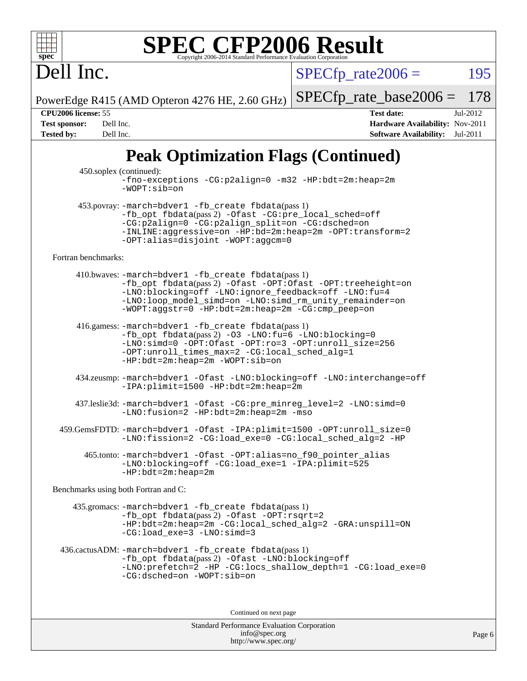Dell Inc.

 $SPECTp\_rate2006 = 195$ 

PowerEdge R415 (AMD Opteron 4276 HE, 2.60 GHz) [SPECfp\\_rate\\_base2006 =](http://www.spec.org/auto/cpu2006/Docs/result-fields.html#SPECfpratebase2006) 178

**[CPU2006 license:](http://www.spec.org/auto/cpu2006/Docs/result-fields.html#CPU2006license)** 55 **[Test date:](http://www.spec.org/auto/cpu2006/Docs/result-fields.html#Testdate)** Jul-2012 **[Test sponsor:](http://www.spec.org/auto/cpu2006/Docs/result-fields.html#Testsponsor)** Dell Inc. **[Hardware Availability:](http://www.spec.org/auto/cpu2006/Docs/result-fields.html#HardwareAvailability)** Nov-2011 **[Tested by:](http://www.spec.org/auto/cpu2006/Docs/result-fields.html#Testedby)** Dell Inc. **[Software Availability:](http://www.spec.org/auto/cpu2006/Docs/result-fields.html#SoftwareAvailability)** Jul-2011

### **[Peak Optimization Flags \(Continued\)](http://www.spec.org/auto/cpu2006/Docs/result-fields.html#PeakOptimizationFlags)**

 450.soplex (continued): [-fno-exceptions](http://www.spec.org/cpu2006/results/res2012q3/cpu2006-20120716-23747.flags.html#user_peakCXXOPTIMIZE450_soplex_F-fexceptions) [-CG:p2align=0](http://www.spec.org/cpu2006/results/res2012q3/cpu2006-20120716-23747.flags.html#user_peakCXXOPTIMIZE450_soplex_F-CG:p2align_f0b0486d75f2be7d5254cfc84ff9845e) [-m32](http://www.spec.org/cpu2006/results/res2012q3/cpu2006-20120716-23747.flags.html#user_peakCXXOPTIMIZE450_soplex_F-m32) [-HP:bdt=2m:heap=2m](http://www.spec.org/cpu2006/results/res2012q3/cpu2006-20120716-23747.flags.html#user_peakCXXOPTIMIZE450_soplex_F-HUGEPAGE_855e97383b49831f390a2af16fe7202f) [-WOPT:sib=on](http://www.spec.org/cpu2006/results/res2012q3/cpu2006-20120716-23747.flags.html#user_peakCXXOPTIMIZE450_soplex_F-WOPT:sib_922e769c7f0e2d4dff1b4919612a4b7b) 453.povray: [-march=bdver1](http://www.spec.org/cpu2006/results/res2012q3/cpu2006-20120716-23747.flags.html#user_peakCXXLD453_povray_F-march_fdb9f2653a6b3eaa60be4cf93a9ba5f3) [-fb\\_create fbdata](http://www.spec.org/cpu2006/results/res2012q3/cpu2006-20120716-23747.flags.html#user_peakPASS1_CXXFLAGSPASS1_LDFLAGS453_povray_F-fb_create_filename)(pass 1) [-fb\\_opt fbdata](http://www.spec.org/cpu2006/results/res2012q3/cpu2006-20120716-23747.flags.html#user_peakPASS2_CXXFLAGSPASS2_LDFLAGS453_povray_F-fb_opt_filename)(pass 2) [-Ofast](http://www.spec.org/cpu2006/results/res2012q3/cpu2006-20120716-23747.flags.html#user_peakCXXOPTIMIZE453_povray_F-Ofast) [-CG:pre\\_local\\_sched=off](http://www.spec.org/cpu2006/results/res2012q3/cpu2006-20120716-23747.flags.html#user_peakCXXOPTIMIZE453_povray_F-CG:pre_local_sched_7bb173f1e7fa183e34a713f624fd3d48) [-CG:p2align=0](http://www.spec.org/cpu2006/results/res2012q3/cpu2006-20120716-23747.flags.html#user_peakCXXOPTIMIZE453_povray_F-CG:p2align_f0b0486d75f2be7d5254cfc84ff9845e) [-CG:p2align\\_split=on](http://www.spec.org/cpu2006/results/res2012q3/cpu2006-20120716-23747.flags.html#user_peakCXXOPTIMIZE453_povray_F-CG:p2align_split_d3c870c09536e0050f2c4511144583c6) [-CG:dsched=on](http://www.spec.org/cpu2006/results/res2012q3/cpu2006-20120716-23747.flags.html#user_peakCXXOPTIMIZE453_povray_F-CG:dsched_25fd6bf9b1a971fa5ea06b24e400231d) [-INLINE:aggressive=on](http://www.spec.org/cpu2006/results/res2012q3/cpu2006-20120716-23747.flags.html#user_peakCXXOPTIMIZE453_povray_F-INLINE:aggressive_e14807c0a1e56a6a83cb25ab07c7ae8a) [-HP:bd=2m:heap=2m](http://www.spec.org/cpu2006/results/res2012q3/cpu2006-20120716-23747.flags.html#user_peakCXXOPTIMIZE453_povray_F-HUGEPAGE_539c723a9f9bd1bd95cd839aeb740bae) [-OPT:transform=2](http://www.spec.org/cpu2006/results/res2012q3/cpu2006-20120716-23747.flags.html#user_peakCXXOPTIMIZE453_povray_F-OPT:transform_77d6ba2bcf219650ff666b5f6fc3337f) [-OPT:alias=disjoint](http://www.spec.org/cpu2006/results/res2012q3/cpu2006-20120716-23747.flags.html#user_peakCXXOPTIMIZE453_povray_F-OPT:alias_af85d624bc8c113f27b06a81a9df063d) [-WOPT:aggcm=0](http://www.spec.org/cpu2006/results/res2012q3/cpu2006-20120716-23747.flags.html#user_peakCXXOPTIMIZE453_povray_F-WOPT:aggcm_b337dc970a129b82f6cf4a641df841eb) [Fortran benchmarks](http://www.spec.org/auto/cpu2006/Docs/result-fields.html#Fortranbenchmarks): 410.bwaves: [-march=bdver1](http://www.spec.org/cpu2006/results/res2012q3/cpu2006-20120716-23747.flags.html#user_peakFCLD410_bwaves_F-march_fdb9f2653a6b3eaa60be4cf93a9ba5f3) [-fb\\_create fbdata](http://www.spec.org/cpu2006/results/res2012q3/cpu2006-20120716-23747.flags.html#user_peakPASS1_FFLAGSPASS1_LDFLAGS410_bwaves_F-fb_create_filename)(pass 1) [-fb\\_opt fbdata](http://www.spec.org/cpu2006/results/res2012q3/cpu2006-20120716-23747.flags.html#user_peakPASS2_FFLAGSPASS2_LDFLAGS410_bwaves_F-fb_opt_filename)(pass 2) [-Ofast](http://www.spec.org/cpu2006/results/res2012q3/cpu2006-20120716-23747.flags.html#user_peakFOPTIMIZE410_bwaves_F-Ofast) [-OPT:Ofast](http://www.spec.org/cpu2006/results/res2012q3/cpu2006-20120716-23747.flags.html#user_peakFOPTIMIZE410_bwaves_F-OPT:Ofast) [-OPT:treeheight=on](http://www.spec.org/cpu2006/results/res2012q3/cpu2006-20120716-23747.flags.html#user_peakFOPTIMIZE410_bwaves_F-OPT:treeheight_cfc70e9aefb9f92101ba198ff7377f7c) [-LNO:blocking=off](http://www.spec.org/cpu2006/results/res2012q3/cpu2006-20120716-23747.flags.html#user_peakFOPTIMIZE410_bwaves_F-LNO:blocking_806f5758a3ec85ed57cd5625787129f2) [-LNO:ignore\\_feedback=off](http://www.spec.org/cpu2006/results/res2012q3/cpu2006-20120716-23747.flags.html#user_peakFOPTIMIZE410_bwaves_F-LNO:ignore_feedback_1d6d06f39185b277a955c10dfd0a9a73) [-LNO:fu=4](http://www.spec.org/cpu2006/results/res2012q3/cpu2006-20120716-23747.flags.html#user_peakFOPTIMIZE410_bwaves_F-LNO:full_unroll_1b24e063ced7eac4cde39ed4795d4acc) [-LNO:loop\\_model\\_simd=on](http://www.spec.org/cpu2006/results/res2012q3/cpu2006-20120716-23747.flags.html#user_peakFOPTIMIZE410_bwaves_F-LNO:loop_model_simd_3cf34eca93fb340105f75f1c09e0ffcf) [-LNO:simd\\_rm\\_unity\\_remainder=on](http://www.spec.org/cpu2006/results/res2012q3/cpu2006-20120716-23747.flags.html#user_peakFOPTIMIZE410_bwaves_F-LNO:simd_rm_unity_remainder_167c8b757674ca9cdefbef1e9aa40ef1) [-WOPT:aggstr=0](http://www.spec.org/cpu2006/results/res2012q3/cpu2006-20120716-23747.flags.html#user_peakFOPTIMIZE410_bwaves_F-WOPT:aggstr_e9f678663e612582e440992a3901d0b4) [-HP:bdt=2m:heap=2m](http://www.spec.org/cpu2006/results/res2012q3/cpu2006-20120716-23747.flags.html#user_peakFOPTIMIZE410_bwaves_F-HUGEPAGE_855e97383b49831f390a2af16fe7202f) [-CG:cmp\\_peep=on](http://www.spec.org/cpu2006/results/res2012q3/cpu2006-20120716-23747.flags.html#user_peakFOPTIMIZE410_bwaves_F-CG:cmp_peep_ab90c979e95bee1f1f617a32622424ed) 416.gamess: [-march=bdver1](http://www.spec.org/cpu2006/results/res2012q3/cpu2006-20120716-23747.flags.html#user_peakFCLD416_gamess_F-march_fdb9f2653a6b3eaa60be4cf93a9ba5f3) [-fb\\_create fbdata](http://www.spec.org/cpu2006/results/res2012q3/cpu2006-20120716-23747.flags.html#user_peakPASS1_FFLAGSPASS1_LDFLAGS416_gamess_F-fb_create_filename)(pass 1) [-fb\\_opt fbdata](http://www.spec.org/cpu2006/results/res2012q3/cpu2006-20120716-23747.flags.html#user_peakPASS2_FFLAGSPASS2_LDFLAGS416_gamess_F-fb_opt_filename)(pass 2) [-O3](http://www.spec.org/cpu2006/results/res2012q3/cpu2006-20120716-23747.flags.html#user_peakFOPTIMIZE416_gamess_F-O3) [-LNO:fu=6](http://www.spec.org/cpu2006/results/res2012q3/cpu2006-20120716-23747.flags.html#user_peakFOPTIMIZE416_gamess_F-LNO:full_unroll_3286c2d175e5cd3c391f9ebb1917057c) [-LNO:blocking=0](http://www.spec.org/cpu2006/results/res2012q3/cpu2006-20120716-23747.flags.html#user_peakFOPTIMIZE416_gamess_F-LNO:blocking_f05bf6a7a6c1d0fdc72c448778ff5994) [-LNO:simd=0](http://www.spec.org/cpu2006/results/res2012q3/cpu2006-20120716-23747.flags.html#user_peakFOPTIMIZE416_gamess_F-LNO:simd_fe5269a1a2b4239f5b10f7374245fa5e) [-OPT:Ofast](http://www.spec.org/cpu2006/results/res2012q3/cpu2006-20120716-23747.flags.html#user_peakFOPTIMIZE416_gamess_F-OPT:Ofast) [-OPT:ro=3](http://www.spec.org/cpu2006/results/res2012q3/cpu2006-20120716-23747.flags.html#user_peakFOPTIMIZE416_gamess_F-OPT:ro_df424ac2b688fef46f512566ef2e1c44) [-OPT:unroll\\_size=256](http://www.spec.org/cpu2006/results/res2012q3/cpu2006-20120716-23747.flags.html#user_peakFOPTIMIZE416_gamess_F-OPT:unroll_size_dfa492f42f50f580c3837c8b22d14f27) [-OPT:unroll\\_times\\_max=2](http://www.spec.org/cpu2006/results/res2012q3/cpu2006-20120716-23747.flags.html#user_peakFOPTIMIZE416_gamess_F-OPT:unroll_times_max_3bd972bae0d5d80e86ed58378fb48c02) [-CG:local\\_sched\\_alg=1](http://www.spec.org/cpu2006/results/res2012q3/cpu2006-20120716-23747.flags.html#user_peakFOPTIMIZE416_gamess_F-CG:local_sched_alg_2175ca61f1a2717f1ec57b14995b9e7a) [-HP:bdt=2m:heap=2m](http://www.spec.org/cpu2006/results/res2012q3/cpu2006-20120716-23747.flags.html#user_peakFOPTIMIZE416_gamess_F-HUGEPAGE_855e97383b49831f390a2af16fe7202f) [-WOPT:sib=on](http://www.spec.org/cpu2006/results/res2012q3/cpu2006-20120716-23747.flags.html#user_peakFOPTIMIZE416_gamess_F-WOPT:sib_922e769c7f0e2d4dff1b4919612a4b7b) 434.zeusmp: [-march=bdver1](http://www.spec.org/cpu2006/results/res2012q3/cpu2006-20120716-23747.flags.html#user_peakFCLD434_zeusmp_F-march_fdb9f2653a6b3eaa60be4cf93a9ba5f3) [-Ofast](http://www.spec.org/cpu2006/results/res2012q3/cpu2006-20120716-23747.flags.html#user_peakFOPTIMIZE434_zeusmp_F-Ofast) [-LNO:blocking=off](http://www.spec.org/cpu2006/results/res2012q3/cpu2006-20120716-23747.flags.html#user_peakFOPTIMIZE434_zeusmp_F-LNO:blocking_806f5758a3ec85ed57cd5625787129f2) [-LNO:interchange=off](http://www.spec.org/cpu2006/results/res2012q3/cpu2006-20120716-23747.flags.html#user_peakFOPTIMIZE434_zeusmp_F-LNO:interchange_57130197a319ddd7676aad2280bcb1be) [-IPA:plimit=1500](http://www.spec.org/cpu2006/results/res2012q3/cpu2006-20120716-23747.flags.html#user_peakFOPTIMIZE434_zeusmp_F-IPA:plimit_5b3b8bfa9af4885eba17b689e05d6f59) [-HP:bdt=2m:heap=2m](http://www.spec.org/cpu2006/results/res2012q3/cpu2006-20120716-23747.flags.html#user_peakFOPTIMIZE434_zeusmp_F-HUGEPAGE_855e97383b49831f390a2af16fe7202f) 437.leslie3d: [-march=bdver1](http://www.spec.org/cpu2006/results/res2012q3/cpu2006-20120716-23747.flags.html#user_peakFCLD437_leslie3d_F-march_fdb9f2653a6b3eaa60be4cf93a9ba5f3) [-Ofast](http://www.spec.org/cpu2006/results/res2012q3/cpu2006-20120716-23747.flags.html#user_peakFOPTIMIZE437_leslie3d_F-Ofast) [-CG:pre\\_minreg\\_level=2](http://www.spec.org/cpu2006/results/res2012q3/cpu2006-20120716-23747.flags.html#user_peakFOPTIMIZE437_leslie3d_F-CG:pre_minreg_level_7a4f6ecddb7c61e5a5fb2e3c8bb4dd9d) [-LNO:simd=0](http://www.spec.org/cpu2006/results/res2012q3/cpu2006-20120716-23747.flags.html#user_peakFOPTIMIZE437_leslie3d_F-LNO:simd_fe5269a1a2b4239f5b10f7374245fa5e) [-LNO:fusion=2](http://www.spec.org/cpu2006/results/res2012q3/cpu2006-20120716-23747.flags.html#user_peakFOPTIMIZE437_leslie3d_F-LNO:fusion_522097e09e21de5ea3aaa2b17dc4a88d) [-HP:bdt=2m:heap=2m](http://www.spec.org/cpu2006/results/res2012q3/cpu2006-20120716-23747.flags.html#user_peakFOPTIMIZE437_leslie3d_F-HUGEPAGE_855e97383b49831f390a2af16fe7202f) [-mso](http://www.spec.org/cpu2006/results/res2012q3/cpu2006-20120716-23747.flags.html#user_peakFOPTIMIZE437_leslie3d_F-mso) 459.GemsFDTD: [-march=bdver1](http://www.spec.org/cpu2006/results/res2012q3/cpu2006-20120716-23747.flags.html#user_peakFCLD459_GemsFDTD_F-march_fdb9f2653a6b3eaa60be4cf93a9ba5f3) [-Ofast](http://www.spec.org/cpu2006/results/res2012q3/cpu2006-20120716-23747.flags.html#user_peakFOPTIMIZE459_GemsFDTD_F-Ofast) [-IPA:plimit=1500](http://www.spec.org/cpu2006/results/res2012q3/cpu2006-20120716-23747.flags.html#user_peakFOPTIMIZE459_GemsFDTD_F-IPA:plimit_5b3b8bfa9af4885eba17b689e05d6f59) [-OPT:unroll\\_size=0](http://www.spec.org/cpu2006/results/res2012q3/cpu2006-20120716-23747.flags.html#user_peakFOPTIMIZE459_GemsFDTD_F-OPT:unroll_size_6939dd22ebf423d79b6783a123c6b33c) [-LNO:fission=2](http://www.spec.org/cpu2006/results/res2012q3/cpu2006-20120716-23747.flags.html#user_peakFOPTIMIZE459_GemsFDTD_F-LNO:fission_5cab2649267e6bc8b61d14b4fdbc5ab6) [-CG:load\\_exe=0](http://www.spec.org/cpu2006/results/res2012q3/cpu2006-20120716-23747.flags.html#user_peakFOPTIMIZE459_GemsFDTD_F-CG:load_exe_274d025dc8e91b4834366e9e44cd78e3) [-CG:local\\_sched\\_alg=2](http://www.spec.org/cpu2006/results/res2012q3/cpu2006-20120716-23747.flags.html#user_peakFOPTIMIZE459_GemsFDTD_F-CG:local_sched_alg_7e9cde87db6e5e7117cdd873e1f958ca) [-HP](http://www.spec.org/cpu2006/results/res2012q3/cpu2006-20120716-23747.flags.html#user_peakFOPTIMIZE459_GemsFDTD_F-HUGEPAGE_5df7ddc958063186306345596c5e7dc3) 465.tonto: [-march=bdver1](http://www.spec.org/cpu2006/results/res2012q3/cpu2006-20120716-23747.flags.html#user_peakFCLD465_tonto_F-march_fdb9f2653a6b3eaa60be4cf93a9ba5f3) [-Ofast](http://www.spec.org/cpu2006/results/res2012q3/cpu2006-20120716-23747.flags.html#user_peakFOPTIMIZE465_tonto_F-Ofast) [-OPT:alias=no\\_f90\\_pointer\\_alias](http://www.spec.org/cpu2006/results/res2012q3/cpu2006-20120716-23747.flags.html#user_peakFOPTIMIZE465_tonto_F-OPT:alias_a4006d692d10b56b990dc3fe885185f9) [-LNO:blocking=off](http://www.spec.org/cpu2006/results/res2012q3/cpu2006-20120716-23747.flags.html#user_peakFOPTIMIZE465_tonto_F-LNO:blocking_806f5758a3ec85ed57cd5625787129f2) [-CG:load\\_exe=1](http://www.spec.org/cpu2006/results/res2012q3/cpu2006-20120716-23747.flags.html#user_peakFOPTIMIZE465_tonto_F-CG:load_exe_77a6962273ab47aafb0b0d5d0a5a6a5a) [-IPA:plimit=525](http://www.spec.org/cpu2006/results/res2012q3/cpu2006-20120716-23747.flags.html#user_peakFOPTIMIZE465_tonto_F-IPA:plimit_d0a5969ed156a139f3f815398bb85fb9) [-HP:bdt=2m:heap=2m](http://www.spec.org/cpu2006/results/res2012q3/cpu2006-20120716-23747.flags.html#user_peakFOPTIMIZE465_tonto_F-HUGEPAGE_855e97383b49831f390a2af16fe7202f) [Benchmarks using both Fortran and C](http://www.spec.org/auto/cpu2006/Docs/result-fields.html#BenchmarksusingbothFortranandC): 435.gromacs: [-march=bdver1](http://www.spec.org/cpu2006/results/res2012q3/cpu2006-20120716-23747.flags.html#user_peakCCFCLD435_gromacs_F-march_fdb9f2653a6b3eaa60be4cf93a9ba5f3) [-fb\\_create fbdata](http://www.spec.org/cpu2006/results/res2012q3/cpu2006-20120716-23747.flags.html#user_peakPASS1_CFLAGSPASS1_FFLAGSPASS1_LDFLAGS435_gromacs_F-fb_create_filename)(pass 1) [-fb\\_opt fbdata](http://www.spec.org/cpu2006/results/res2012q3/cpu2006-20120716-23747.flags.html#user_peakPASS2_CFLAGSPASS2_FFLAGSPASS2_LDFLAGS435_gromacs_F-fb_opt_filename)(pass 2) [-Ofast](http://www.spec.org/cpu2006/results/res2012q3/cpu2006-20120716-23747.flags.html#user_peakCOPTIMIZEFOPTIMIZE435_gromacs_F-Ofast) [-OPT:rsqrt=2](http://www.spec.org/cpu2006/results/res2012q3/cpu2006-20120716-23747.flags.html#user_peakCOPTIMIZEFOPTIMIZE435_gromacs_F-OPT:rsqrt_86267f9eadbaac77732db1e74eed7bf8) [-HP:bdt=2m:heap=2m](http://www.spec.org/cpu2006/results/res2012q3/cpu2006-20120716-23747.flags.html#user_peakCOPTIMIZEFOPTIMIZE435_gromacs_F-HUGEPAGE_855e97383b49831f390a2af16fe7202f) [-CG:local\\_sched\\_alg=2](http://www.spec.org/cpu2006/results/res2012q3/cpu2006-20120716-23747.flags.html#user_peakCOPTIMIZEFOPTIMIZE435_gromacs_F-CG:local_sched_alg_7e9cde87db6e5e7117cdd873e1f958ca) [-GRA:unspill=ON](http://www.spec.org/cpu2006/results/res2012q3/cpu2006-20120716-23747.flags.html#user_peakCOPTIMIZEFOPTIMIZE435_gromacs_F-GRA:unspill_fee06ef1fc3c1ad58970470bbe69ac7a) [-CG:load\\_exe=3](http://www.spec.org/cpu2006/results/res2012q3/cpu2006-20120716-23747.flags.html#user_peakCOPTIMIZEFOPTIMIZE435_gromacs_F-CG:load_exe_b3d8bb578b47feb706535fc1ad967df2) [-LNO:simd=3](http://www.spec.org/cpu2006/results/res2012q3/cpu2006-20120716-23747.flags.html#user_peakFOPTIMIZE435_gromacs_F-LNO:simd_b94d4c192b0c16a724139baa22f1f917) 436.cactusADM: [-march=bdver1](http://www.spec.org/cpu2006/results/res2012q3/cpu2006-20120716-23747.flags.html#user_peakCCFCLD436_cactusADM_F-march_fdb9f2653a6b3eaa60be4cf93a9ba5f3) [-fb\\_create fbdata](http://www.spec.org/cpu2006/results/res2012q3/cpu2006-20120716-23747.flags.html#user_peakPASS1_CFLAGSPASS1_FFLAGSPASS1_LDFLAGS436_cactusADM_F-fb_create_filename)(pass 1) [-fb\\_opt fbdata](http://www.spec.org/cpu2006/results/res2012q3/cpu2006-20120716-23747.flags.html#user_peakPASS2_CFLAGSPASS2_FFLAGSPASS2_LDFLAGS436_cactusADM_F-fb_opt_filename)(pass 2) [-Ofast](http://www.spec.org/cpu2006/results/res2012q3/cpu2006-20120716-23747.flags.html#user_peakCOPTIMIZEFOPTIMIZE436_cactusADM_F-Ofast) [-LNO:blocking=off](http://www.spec.org/cpu2006/results/res2012q3/cpu2006-20120716-23747.flags.html#user_peakCOPTIMIZEFOPTIMIZE436_cactusADM_F-LNO:blocking_806f5758a3ec85ed57cd5625787129f2) [-LNO:prefetch=2](http://www.spec.org/cpu2006/results/res2012q3/cpu2006-20120716-23747.flags.html#user_peakCOPTIMIZEFOPTIMIZE436_cactusADM_F-LNO:prefetch_9aee81855ba0592a3c8a40ba7b041143) [-HP](http://www.spec.org/cpu2006/results/res2012q3/cpu2006-20120716-23747.flags.html#user_peakCOPTIMIZEFOPTIMIZE436_cactusADM_F-HUGEPAGE_5df7ddc958063186306345596c5e7dc3) [-CG:locs\\_shallow\\_depth=1](http://www.spec.org/cpu2006/results/res2012q3/cpu2006-20120716-23747.flags.html#user_peakCOPTIMIZEFOPTIMIZE436_cactusADM_F-CG:locs_shallow_depth_ec0a53d3def1c53dcd5985fc16cc23f2) [-CG:load\\_exe=0](http://www.spec.org/cpu2006/results/res2012q3/cpu2006-20120716-23747.flags.html#user_peakCOPTIMIZEFOPTIMIZE436_cactusADM_F-CG:load_exe_274d025dc8e91b4834366e9e44cd78e3) [-CG:dsched=on](http://www.spec.org/cpu2006/results/res2012q3/cpu2006-20120716-23747.flags.html#user_peakCOPTIMIZEFOPTIMIZE436_cactusADM_F-CG:dsched_25fd6bf9b1a971fa5ea06b24e400231d) [-WOPT:sib=on](http://www.spec.org/cpu2006/results/res2012q3/cpu2006-20120716-23747.flags.html#user_peakCOPTIMIZEFOPTIMIZE436_cactusADM_F-WOPT:sib_922e769c7f0e2d4dff1b4919612a4b7b) Continued on next page